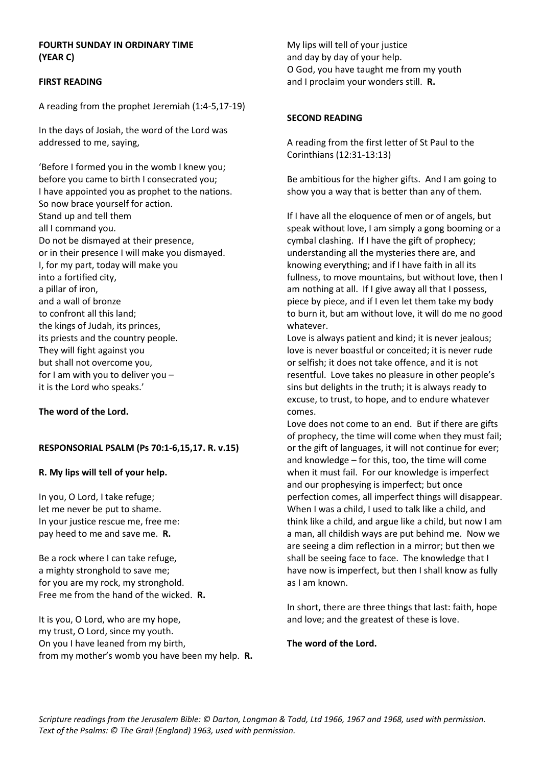# **FOURTH SUNDAY IN ORDINARY TIME (YEAR C)**

## **FIRST READING**

A reading from the prophet Jeremiah (1:4-5,17-19)

In the days of Josiah, the word of the Lord was addressed to me, saying,

'Before I formed you in the womb I knew you; before you came to birth I consecrated you; I have appointed you as prophet to the nations. So now brace yourself for action. Stand up and tell them all I command you. Do not be dismayed at their presence, or in their presence I will make you dismayed. I, for my part, today will make you into a fortified city, a pillar of iron, and a wall of bronze to confront all this land; the kings of Judah, its princes, its priests and the country people. They will fight against you but shall not overcome you, for I am with you to deliver you – it is the Lord who speaks.'

#### **The word of the Lord.**

## **RESPONSORIAL PSALM (Ps 70:1-6,15,17. R. v.15)**

#### **R. My lips will tell of your help.**

In you, O Lord, I take refuge; let me never be put to shame. In your justice rescue me, free me: pay heed to me and save me. **R.**

Be a rock where I can take refuge, a mighty stronghold to save me; for you are my rock, my stronghold. Free me from the hand of the wicked. **R.**

It is you, O Lord, who are my hope, my trust, O Lord, since my youth. On you I have leaned from my birth, from my mother's womb you have been my help. **R.** My lips will tell of your justice and day by day of your help. O God, you have taught me from my youth and I proclaim your wonders still. **R.**

### **SECOND READING**

A reading from the first letter of St Paul to the Corinthians (12:31-13:13)

Be ambitious for the higher gifts. And I am going to show you a way that is better than any of them.

If I have all the eloquence of men or of angels, but speak without love, I am simply a gong booming or a cymbal clashing. If I have the gift of prophecy; understanding all the mysteries there are, and knowing everything; and if I have faith in all its fullness, to move mountains, but without love, then I am nothing at all. If I give away all that I possess, piece by piece, and if I even let them take my body to burn it, but am without love, it will do me no good whatever.

Love is always patient and kind; it is never jealous; love is never boastful or conceited; it is never rude or selfish; it does not take offence, and it is not resentful. Love takes no pleasure in other people's sins but delights in the truth; it is always ready to excuse, to trust, to hope, and to endure whatever comes.

Love does not come to an end. But if there are gifts of prophecy, the time will come when they must fail; or the gift of languages, it will not continue for ever; and knowledge – for this, too, the time will come when it must fail. For our knowledge is imperfect and our prophesying is imperfect; but once perfection comes, all imperfect things will disappear. When I was a child, I used to talk like a child, and think like a child, and argue like a child, but now I am a man, all childish ways are put behind me. Now we are seeing a dim reflection in a mirror; but then we shall be seeing face to face. The knowledge that I have now is imperfect, but then I shall know as fully as I am known.

In short, there are three things that last: faith, hope and love; and the greatest of these is love.

#### **The word of the Lord.**